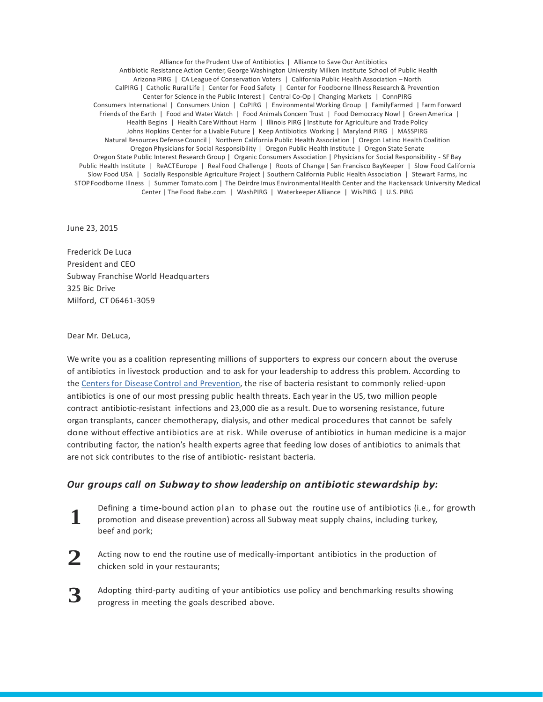Alliance for the Prudent Use of Antibiotics | Alliance to Save Our Antibiotics Antibiotic Resistance Action Center, George Washington University Milken Institute School of Public Health Arizona PIRG | CA League of Conservation Voters | California Public Health Association – North CalPIRG | Catholic Rural Life | Center for Food Safety | Center for Foodborne Illness Research & Prevention Center for Science in the Public Interest | Central Co-Op | Changing Markets | ConnPIRG Consumers International | Consumers Union | CoPIRG | Environmental Working Group | FamilyFarmed | Farm Forward Friends of the Earth | Food and Water Watch | Food Animals Concern Trust | Food Democracy Now! | Green America | Health Begins | Health Care Without Harm | Illinois PIRG | Institute for Agriculture and Trade Policy Johns Hopkins Center for a Livable Future | Keep Antibiotics Working | Maryland PIRG | MASSPIRG Natural Resources Defense Council | Northern California Public Health Association | Oregon Latino Health Coalition Oregon Physiciansfor Social Responsibility | Oregon Public Health Institute | Oregon State Senate Oregon State Public Interest Research Group | Organic Consumers Association | Physiciansfor Social Responsibility - SF Bay Public Health Institute | ReACTEurope | Real Food Challenge | Roots of Change | San Francisco BayKeeper | Slow Food California Slow Food USA | Socially Responsible Agriculture Project | Southern California Public Health Association | Stewart Farms, Inc STOPFoodborne Illness | Summer Tomato.com | The Deirdre Imus Environmental Health Center and the Hackensack University Medical Center | The Food Babe.com | WashPIRG | Waterkeeper Alliance | WisPIRG | U.S. PIRG

June 23, 2015

Frederick De Luca President and CEO Subway Franchise World Headquarters 325 Bic Drive Milford, CT 06461-3059

## Dear Mr. DeLuca,

We write you as a coalition representing millions of supporters to express our concern about the overuse of antibiotics in livestock production and to ask for your leadership to address this problem. According to the Centers for Disease Control and [Prevention,](http://www.cdc.gov/drugresistance/solutions-initiative/http%3A/www.cdc.gov/drugresistance/solutions-initiative/) the rise of bacteria resistant to commonly relied-upon antibiotics is one of our most pressing public health threats. Each year in the US, two million people contract antibiotic-resistant infections and 23,000 die as a result. Due to worsening resistance, future organ transplants, cancer chemotherapy, dialysis, and other medical procedures that cannot be safely done without effective antibiotics are at risk. While overuse of antibiotics in human medicine is a major contributing factor, the nation's health experts agree that feeding low doses of antibiotics to animals that are not sick contributes to the rise of antibiotic- resistant bacteria.

## *Our groups call on Subway to show leadership on antibiotic stewardship by:*

- Defining a time-bound action plan to phase out the routine use of antibiotics (i.e., for growth promotion and disease prevention) across all Subway meat supply chains, including turkey, beef and pork;
- **2** Acting now to end the routine use of medically-important antibiotics in the production of chicken sold in your restaurants;
- **3** Adopting third-party auditing of your antibiotics use policy and benchmarking results showing progress in meeting the goals described above.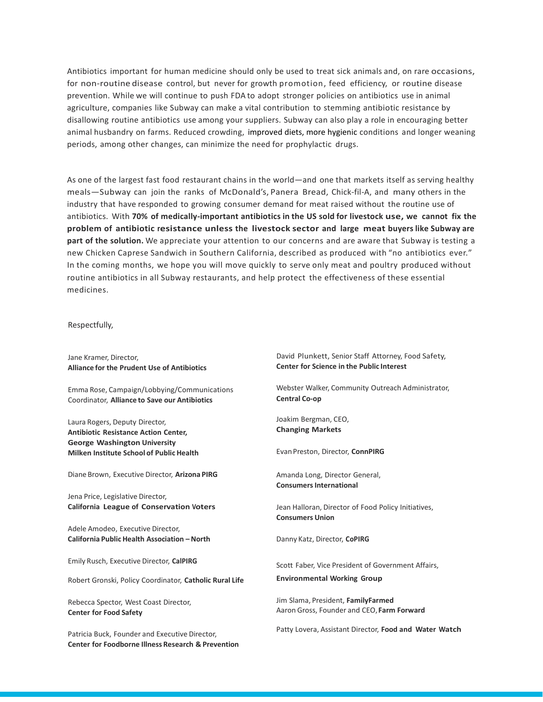Antibiotics important for human medicine should only be used to treat sick animals and, on rare occasions, for non-routine disease control, but never for growth promotion, feed efficiency, or routine disease prevention. While we will continue to push FDA to adopt stronger policies on antibiotics use in animal agriculture, companies like Subway can make a vital contribution to stemming antibiotic resistance by disallowing routine antibiotics use among your suppliers. Subway can also play a role in encouraging better animal husbandry on farms. Reduced crowding, improved diets, more hygienic conditions and longer weaning periods, among other changes, can minimize the need for prophylactic drugs.

As one of the largest fast food restaurant chains in the world—and one that markets itself as serving healthy meals—Subway can join the ranks of McDonald's, Panera Bread, Chick-fil-A, and many others in the industry that have responded to growing consumer demand for meat raised without the routine use of antibiotics. With **70% of medically-important antibiotics in the US sold for livestock use, we cannot fix the problem of antibiotic resistance unless the livestock sector and large meat buyers like Subway are part of the solution.** We appreciate your attention to our concerns and are aware that Subway is testing a new Chicken Caprese Sandwich in Southern California, described as produced with "no antibiotics ever." In the coming months, we hope you will move quickly to serve only meat and poultry produced without routine antibiotics in all Subway restaurants, and help protect the effectiveness of these essential medicines.

Respectfully,

Jane Kramer, Director, **Alliance for the Prudent Use of Antibiotics**

Emma Rose, Campaign/Lobbying/Communications Coordinator, **Alliance to Save our Antibiotics**

Laura Rogers, Deputy Director, **Antibiotic Resistance Action Center, George Washington University Milken Institute School of Public Health**

Diane Brown, Executive Director, **Arizona PIRG**

Jena Price, Legislative Director, **California League of Conservation Voters**

Adele Amodeo, Executive Director, **California Public Health Association – North**

Emily Rusch, Executive Director, **CalPIRG**

Robert Gronski, Policy Coordinator, **Catholic Rural Life**

Rebecca Spector, West Coast Director, **Center for Food Safety**

Patricia Buck, Founder and Executive Director, **Center for Foodborne Illness Research & Prevention** David Plunkett, Senior Staff Attorney, Food Safety, **Center for Science in the Public Interest**

Webster Walker, Community Outreach Administrator, **Central Co-op**

Joakim Bergman, CEO, **Changing Markets**

EvanPreston, Director, **ConnPIRG**

Amanda Long, Director General, **Consumers International** 

Jean Halloran, Director of Food Policy Initiatives, **Consumers Union**

Danny Katz, Director, **CoPIRG**

Scott Faber, Vice President of Government Affairs,

**Environmental Working Group**

Jim Slama, President, **FamilyFarmed** Aaron Gross, Founder and CEO, **Farm Forward**

Patty Lovera, Assistant Director, **Food and Water Watch**